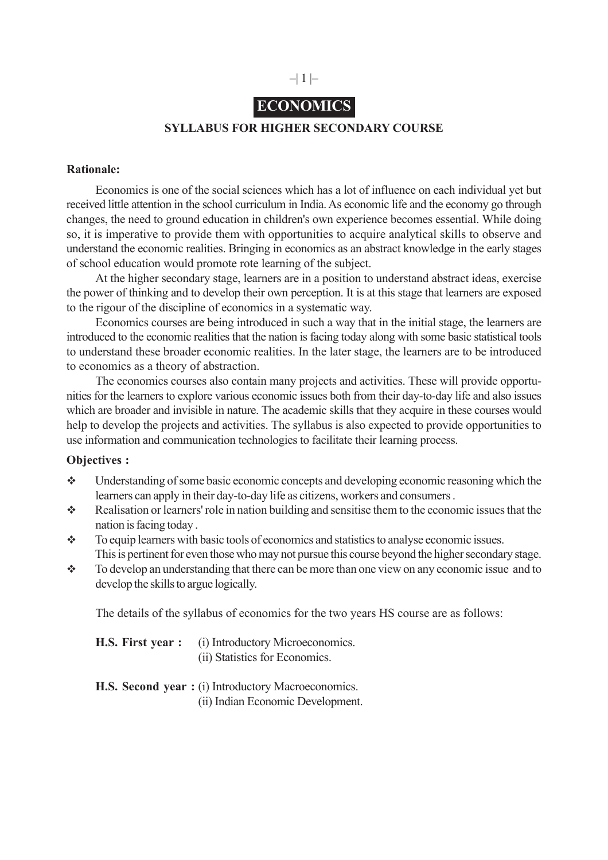# $-|1| -$

# **ECONOMICS**

#### **SYLLABUS FOR HIGHER SECONDARY COURSE**

#### **Rationale:**

Economics is one of the social sciences which has a lot of influence on each individual yet but received little attention in the school curriculum in India. As economic life and the economy go through changes, the need to ground education in children's own experience becomes essential. While doing so, it is imperative to provide them with opportunities to acquire analytical skills to observe and understand the economic realities. Bringing in economics as an abstract knowledge in the early stages of school education would promote rote learning of the subject.

At the higher secondary stage, learners are in a position to understand abstract ideas, exercise the power of thinking and to develop their own perception. It is at this stage that learners are exposed to the rigour of the discipline of economics in a systematic way.

Economics courses are being introduced in such a way that in the initial stage, the learners are introduced to the economic realities that the nation is facing today along with some basic statistical tools to understand these broader economic realities. In the later stage, the learners are to be introduced to economics as a theory of abstraction.

The economics courses also contain many projects and activities. These will provide opportunities for the learners to explore various economic issues both from their day-to-day life and also issues which are broader and invisible in nature. The academic skills that they acquire in these courses would help to develop the projects and activities. The syllabus is also expected to provide opportunities to use information and communication technologies to facilitate their learning process.

#### **Objectives :**

- Understanding of some basic economic concepts and developing economic reasoning which the learners can apply in their day-to-day life as citizens, workers and consumers .
- Realisation or learners' role in nation building and sensitise them to the economic issues that the nation is facing today .
- $\bullet$  To equip learners with basic tools of economics and statistics to analyse economic issues. This is pertinent for even those who may not pursue this course beyond the higher secondary stage.
- \* To develop an understanding that there can be more than one view on any economic issue and to develop the skills to argue logically.

The details of the syllabus of economics for the two years HS course are as follows:

| <b>H.S. First year :</b> (i) Introductory Microeconomics. |
|-----------------------------------------------------------|
| (ii) Statistics for Economics.                            |

|  |  | <b>H.S. Second year:</b> (i) Introductory Macroeconomics. |  |
|--|--|-----------------------------------------------------------|--|
|  |  | (ii) Indian Economic Development.                         |  |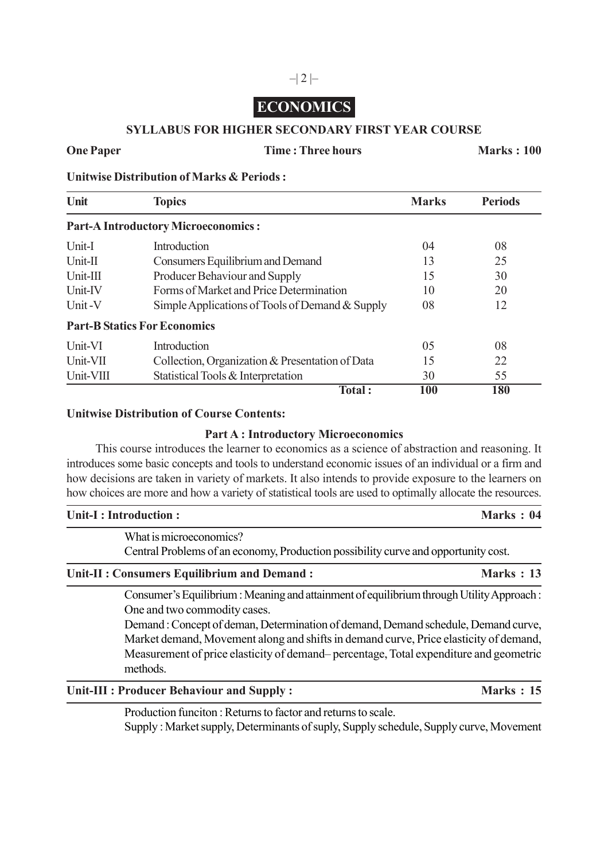# **ECONOMICS**

#### **SYLLABUS FOR HIGHER SECONDARY FIRST YEAR COURSE**

#### **One Paper Time : Three hours Marks : 100**

**Unitwise Distribution of Marks & Periods :**

| Unit      | <b>Topics</b>                                   | <b>Marks</b> | <b>Periods</b> |
|-----------|-------------------------------------------------|--------------|----------------|
|           | <b>Part-A Introductory Microeconomics:</b>      |              |                |
| Unit-I    | Introduction                                    | 04           | 08             |
| $Unit-II$ | Consumers Equilibrium and Demand                | 13           | 25             |
| Unit-III  | Producer Behaviour and Supply                   | 15           | 30             |
| Unit-IV   | Forms of Market and Price Determination         | 10           | 20             |
| Unit-V    | Simple Applications of Tools of Demand & Supply | 08           | 12             |
|           | <b>Part-B Statics For Economics</b>             |              |                |
| Unit-VI   | Introduction                                    | 05           | 08             |
| Unit-VII  | Collection, Organization & Presentation of Data | 15           | 22             |
| Unit-VIII | Statistical Tools & Interpretation              | 30           | 55             |
|           | Total:                                          | 100          | 180            |

#### **Unitwise Distribution of Course Contents:**

#### **Part A : Introductory Microeconomics**

This course introduces the learner to economics as a science of abstraction and reasoning. It introduces some basic concepts and tools to understand economic issues of an individual or a firm and how decisions are taken in variety of markets. It also intends to provide exposure to the learners on how choices are more and how a variety of statistical tools are used to optimally allocate the resources.

| Marks: 04<br>Unit-I : Introduction :                                                                               |           |
|--------------------------------------------------------------------------------------------------------------------|-----------|
| What is microeconomics?<br>Central Problems of an economy, Production possibility curve and opportunity cost.      |           |
| Unit-II : Consumers Equilibrium and Demand :                                                                       | Marks: 13 |
| $\Gamma$ Consumer's Equilibrium : Meaning and attainment of equilibrium through I ltility $\Delta$ propose $\cdot$ |           |

Consumer's Equilibrium : Meaning and attainment of equilibrium through Utility Approach : One and two commodity cases.

Demand : Concept of deman, Determination of demand, Demand schedule, Demand curve, Market demand, Movement along and shifts in demand curve, Price elasticity of demand, Measurement of price elasticity of demand– percentage, Total expenditure and geometric methods.

#### Unit-III : Producer Behaviour and Supply : Marks : 15

Production funciton : Returns to factor and returns to scale. Supply : Market supply, Determinants of suply, Supply schedule, Supply curve, Movement

# $-|2|$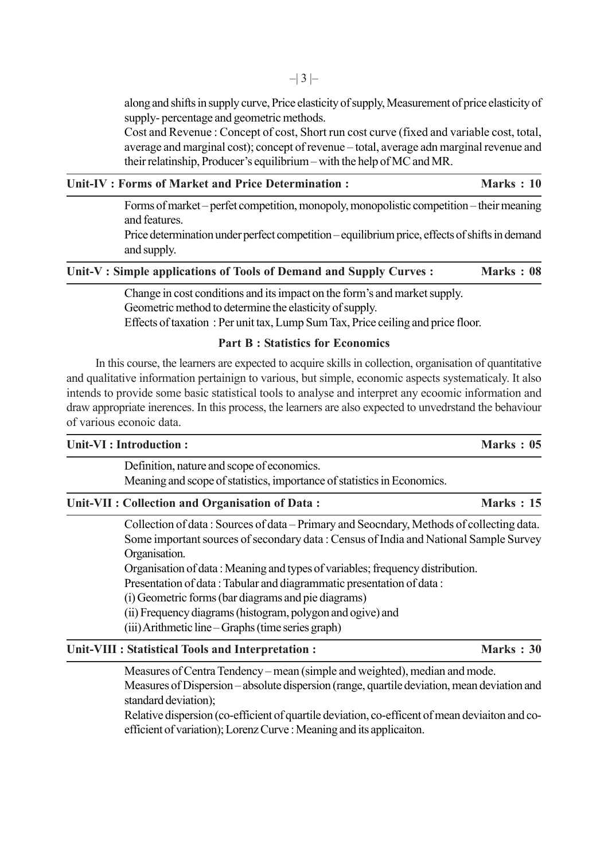along and shifts in supply curve, Price elasticity of supply, Measurement of price elasticity of supply- percentage and geometric methods.

Cost and Revenue : Concept of cost, Short run cost curve (fixed and variable cost, total, average and marginal cost); concept of revenue – total, average adn marginal revenue and their relatinship, Producer's equilibrium – with the help of MC and MR.

**Marks : 10** 

Forms of market – perfet competition, monopoly, monopolistic competition – their meaning and features.

Price determination under perfect competition – equilibrium price, effects of shifts in demand and supply.

| Unit-V : Simple applications of Tools of Demand and Supply Curves : | Marks: 08 |  |
|---------------------------------------------------------------------|-----------|--|
|---------------------------------------------------------------------|-----------|--|

Change in cost conditions and its impact on the form's and market supply. Geometric method to determine the elasticity of supply. Effects of taxation : Per unit tax, Lump Sum Tax, Price ceiling and price floor.

#### **Part B : Statistics for Economics**

In this course, the learners are expected to acquire skills in collection, organisation of quantitative and qualitative information pertainign to various, but simple, economic aspects systematicaly. It also intends to provide some basic statistical tools to analyse and interpret any ecoomic information and draw appropriate inerences. In this process, the learners are also expected to unvedrstand the behaviour of various econoic data.

#### **Unit-VI : Introduction : Marks : 05**

Definition, nature and scope of economics.

Meaning and scope of statistics, importance of statistics in Economics.

#### Unit-VII : Collection and Organisation of Data : Marks : 15

Collection of data : Sources of data – Primary and Seocndary, Methods of collecting data. Some important sources of secondary data : Census of India and National Sample Survey Organisation.

Organisation of data : Meaning and types of variables; frequency distribution.

Presentation of data : Tabular and diagrammatic presentation of data :

(i) Geometric forms (bar diagrams and pie diagrams)

(ii) Frequency diagrams (histogram, polygon and ogive) and

(iii) Arithmetic line – Graphs (time series graph)

### Unit-VIII : Statistical Tools and Interpretation : Marks : 30

Measures of Centra Tendency – mean (simple and weighted), median and mode.

Measures of Dispersion – absolute dispersion (range, quartile deviation, mean deviation and standard deviation);

Relative dispersion (co-efficient of quartile deviation, co-efficent of mean deviaiton and coefficient of variation); Lorenz Curve : Meaning and its applicaiton.